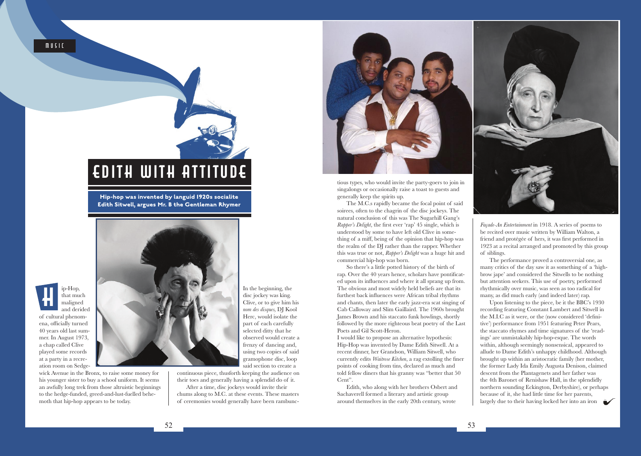

**Hip-hop was invented by languid 1920s socialite Edith Sitwell, argues Mr. B the Gentleman Rhymer**

ip-Hop, that much maligned *H*

and derided of cultural phenomena, officially turned 40 years old last summer. In August 1973, a chap called Clive played some records at a party in a recreation room on Sedge-

wick Avenue in the Bronx, to raise some money for his younger sister to buy a school uniform. It seems an awfully long trek from those altruistic beginnings to the hedge-funded, greed-and-lust-fuelled behemoth that hip-hop appears to be today.

In the beginning, the disc jockey was king. Clive, or to give him his *nom des disques,* DJ Kool Herc, would isolate the part of each carefully selected ditty that he observed would create a frenzy of dancing and, using two copies of said gramophone disc, loop said section to create a

continuous piece, thusforth keeping the audience on their toes and generally having a splendid do of it.

After a time, disc jockeys would invite their chums along to M.C. at these events. These masters of ceremonies would generally have been rambunc-



tious types, who would invite the party-goers to join in singalongs or occasionally raise a toast to guests and generally keep the spirits up.

The M.C.s rapidly became the focal point of said soirees, often to the chagrin of the disc jockeys. The natural conclusion of this was The Sugarhill Gang's *Rapper's Delight*, the first ever 'rap' 45 single, which is understood by some to have left old Clive in something of a miff, being of the opinion that hip-hop was the realm of the DJ rather than the rapper. Whether this was true or not, *Rapper's Delight* was a huge hit and commercial hip-hop was born.

So there's a little potted history of the birth of rap. Over the 40 years hence, scholars have pontificated upon its influences and where it all sprang up from. The obvious and most widely held beliefs are that its furthest back influences were African tribal rhythms and chants, then later the early jazz-era scat singing of Cab Calloway and Slim Gaillaird. The 1960s brought James Brown and his staccato funk howlings, shortly followed by the more righteous beat poetry of the Last Poets and Gil Scott-Heron.

I would like to propose an alternative hypothesis: Hip-Hop was invented by Dame Edith Sitwell. At a recent dinner, her Grandson, William Sitwell, who currently edits *Waitrose Kitchen*, a rag extolling the finer points of cooking from tins, declared as much and told fellow diners that his granny was "better that 50 Cent".

Edith, who along with her brothers Osbert and Sachaverell formed a literary and artistic group around themselves in the early 20th century, wrote



*Façade-An Entertainment* in 1918. A series of poems to be recited over music written by William Walton, a friend and protégée of hers, it was first performed in 1923 at a recital arranged and promoted by this group of siblings.

The performance proved a controversial one, as many critics of the day saw it as something of a 'highbrow jape' and considered the Sitwells to be nothing but attention seekers. This use of poetry, performed rhythmically over music, was seen as too radical for many, as did much early (and indeed later) rap.

Upon listening to the piece, be it the BBC's 1930 recording featuring Constant Lambert and Sitwell in the M.I.C as it were, or the (now considered 'definitive') performance from 1951 featuring Peter Pears, the staccato rhymes and time signatures of the 'readings' are unmistakably hip-hop-esque. The words within, although seemingly nonsensical, appeared to allude to Dame Edith's unhappy childhood. Although brought up within an aristocratic family (her mother, the former Lady Ida Emily Augusta Denison, claimed descent from the Plantagenets and her father was the 4th Baronet of Renishaw Hall, in the splendidly northern sounding Eckington, Derbyshire), or perhaps because of it, she had little time for her parents, largely due to their having locked her into an iron